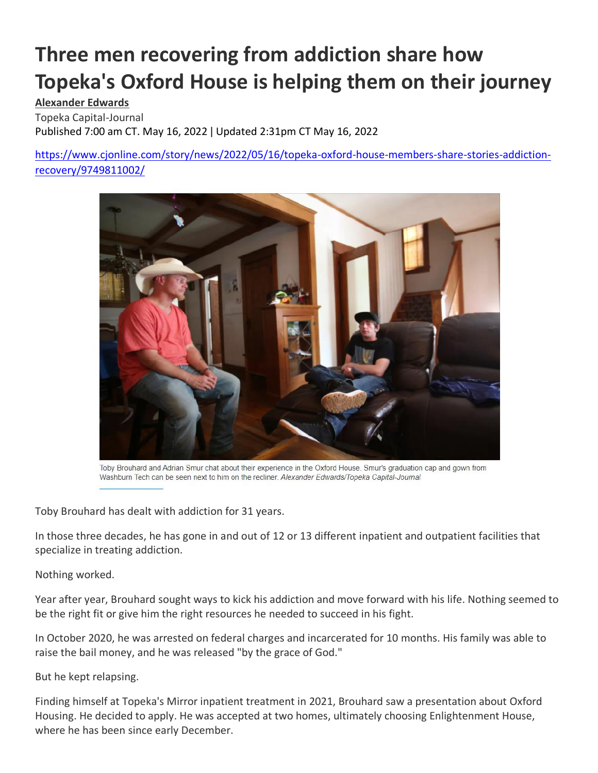# **Three men recovering from addiction share how Topeka's Oxford House is helping them on their journey**

## **[Alexander Edwards](https://www.cjonline.com/staff/6712905001/alexander-edwards/)**

Topeka Capital-Journal Published 7:00 am CT. May 16, 2022 ǀ Updated 2:31pm CT May 16, 2022

[https://www.cjonline.com/story/news/2022/05/16/topeka-oxford-house-members-share-stories-addiction](https://www.cjonline.com/story/news/2022/05/16/topeka-oxford-house-members-share-stories-addiction-recovery/9749811002/)[recovery/9749811002/](https://www.cjonline.com/story/news/2022/05/16/topeka-oxford-house-members-share-stories-addiction-recovery/9749811002/)



Toby Brouhard and Adrian Smur chat about their experience in the Oxford House. Smur's graduation cap and gown from Washburn Tech can be seen next to him on the recliner. Alexander Edwards/Topeka Capital-Journal

Toby Brouhard has dealt with addiction for 31 years.

In those three decades, he has gone in and out of 12 or 13 different inpatient and outpatient facilities that specialize in treating addiction.

Nothing worked.

Year after year, Brouhard sought ways to kick his addiction and move forward with his life. Nothing seemed to be the right fit or give him the right resources he needed to succeed in his fight.

In October 2020, he was arrested on federal charges and incarcerated for 10 months. His family was able to raise the bail money, and he was released "by the grace of God."

But he kept relapsing.

Finding himself at Topeka's Mirror inpatient treatment in 2021, Brouhard saw a presentation about Oxford Housing. He decided to apply. He was accepted at two homes, ultimately choosing Enlightenment House, where he has been since early December.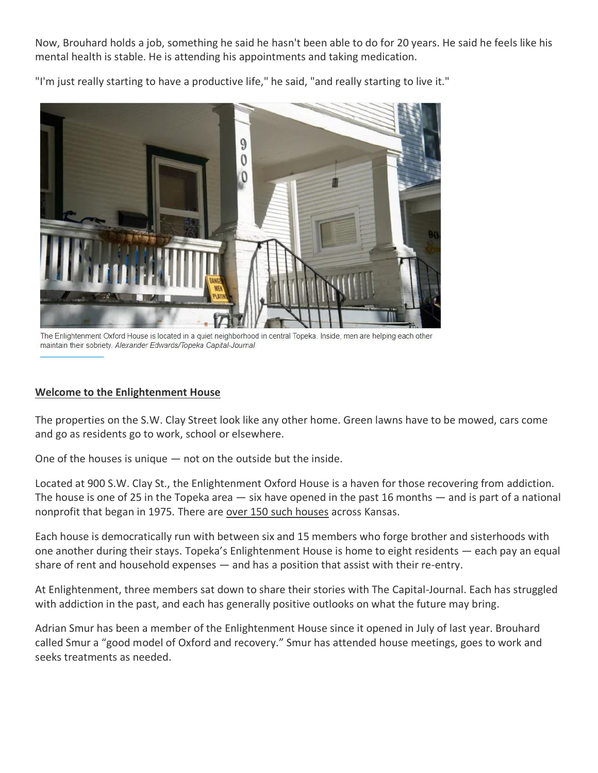Now, Brouhard holds a job, something he said he hasn't been able to do for 20 years. He said he feels like his mental health is stable. He is attending his appointments and taking medication.

"I'm just really starting to have a productive life," he said, "and really starting to live it."



The Enlightenment Oxford House is located in a quiet neighborhood in central Topeka. Inside, men are helping each other maintain their sobriety. Alexander Edwards/Topeka Capital-Journal

#### **Welcome to the Enlightenment House**

The properties on the S.W. Clay Street look like any other home. Green lawns have to be mowed, cars come and go as residents go to work, school or elsewhere.

One of the houses is unique — not on the outside but the inside.

Located at 900 S.W. Clay St., the Enlightenment Oxford House is a haven for those recovering from addiction. The house is one of 25 in the Topeka area — six have opened in the past 16 months — and is part of a national nonprofit that began in 1975. There are [over 150 such houses](https://www.oxfordvacancies.com/Default.aspx) across Kansas.

Each house is democratically run with between six and 15 members who forge brother and sisterhoods with one another during their stays. Topeka's Enlightenment House is home to eight residents — each pay an equal share of rent and household expenses — and has a position that assist with their re-entry.

At Enlightenment, three members sat down to share their stories with The Capital-Journal. Each has struggled with addiction in the past, and each has generally positive outlooks on what the future may bring.

Adrian Smur has been a member of the Enlightenment House since it opened in July of last year. Brouhard called Smur a "good model of Oxford and recovery." Smur has attended house meetings, goes to work and seeks treatments as needed.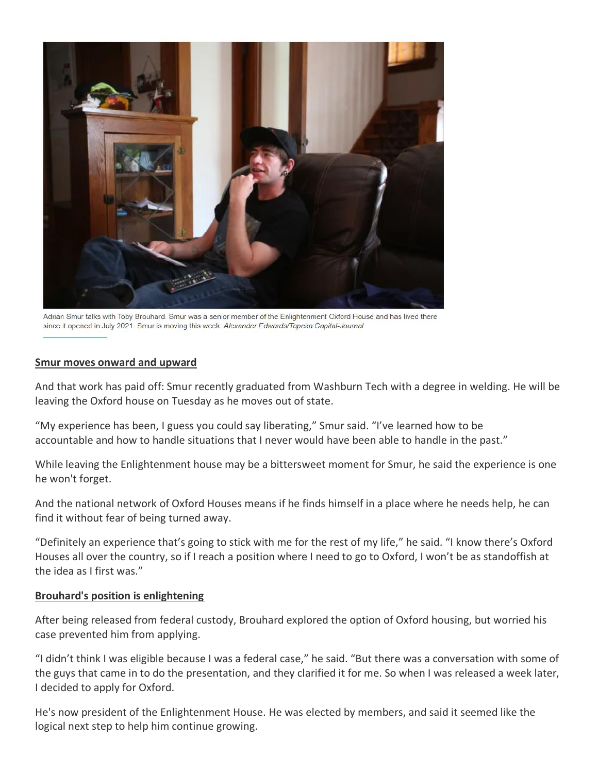

Adrian Smur talks with Toby Brouhard. Smur was a senior member of the Enlightenment Oxford House and has lived there since it opened in July 2021. Smur is moving this week. Alexander Edwards/Topeka Capital-Journal

#### **Smur moves onward and upward**

And that work has paid off: Smur recently graduated from Washburn Tech with a degree in welding. He will be leaving the Oxford house on Tuesday as he moves out of state.

"My experience has been, I guess you could say liberating," Smur said. "I've learned how to be accountable and how to handle situations that I never would have been able to handle in the past."

While leaving the Enlightenment house may be a bittersweet moment for Smur, he said the experience is one he won't forget.

And the national network of Oxford Houses means if he finds himself in a place where he needs help, he can find it without fear of being turned away.

"Definitely an experience that's going to stick with me for the rest of my life," he said. "I know there's Oxford Houses all over the country, so if I reach a position where I need to go to Oxford, I won't be as standoffish at the idea as I first was."

#### **Brouhard's position is enlightening**

After being released from federal custody, Brouhard explored the option of Oxford housing, but worried his case prevented him from applying.

"I didn't think I was eligible because I was a federal case," he said. "But there was a conversation with some of the guys that came in to do the presentation, and they clarified it for me. So when I was released a week later, I decided to apply for Oxford.

He's now president of the Enlightenment House. He was elected by members, and said it seemed like the logical next step to help him continue growing.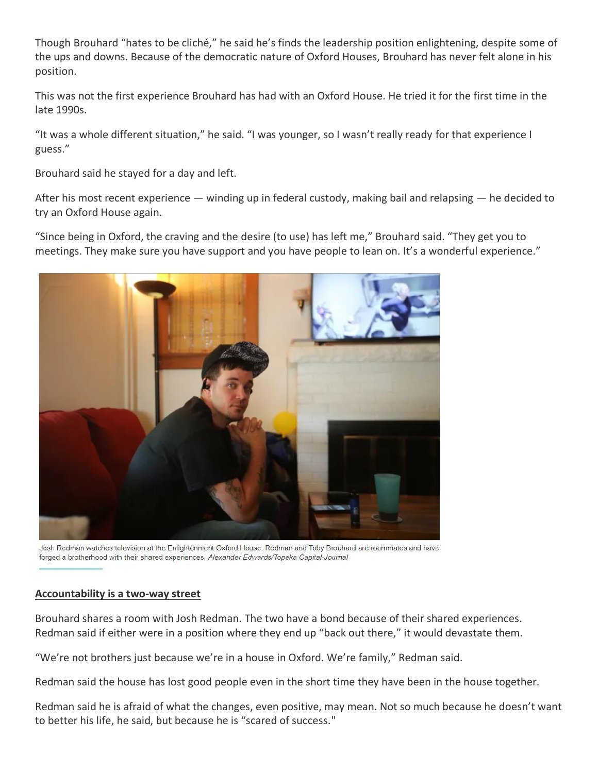Though Brouhard "hates to be cliché," he said he's finds the leadership position enlightening, despite some of the ups and downs. Because of the democratic nature of Oxford Houses, Brouhard has never felt alone in his position.

This was not the first experience Brouhard has had with an Oxford House. He tried it for the first time in the late 1990s.

"It was a whole different situation," he said. "I was younger, so I wasn't really ready for that experience I guess."

Brouhard said he stayed for a day and left.

After his most recent experience — winding up in federal custody, making bail and relapsing — he decided to try an Oxford House again.

"Since being in Oxford, the craving and the desire (to use) has left me," Brouhard said. "They get you to meetings. They make sure you have support and you have people to lean on. It's a wonderful experience."



Josh Redman watches television at the Enlightenment Oxford House. Redman and Toby Brouhard are roommates and have forged a brotherhood with their shared experiences. Alexander Edwards/Topeka Capital-Journal

### **Accountability is a two-way street**

Brouhard shares a room with Josh Redman. The two have a bond because of their shared experiences. Redman said if either were in a position where they end up "back out there," it would devastate them.

"We're not brothers just because we're in a house in Oxford. We're family," Redman said.

Redman said the house has lost good people even in the short time they have been in the house together.

Redman said he is afraid of what the changes, even positive, may mean. Not so much because he doesn't want to better his life, he said, but because he is "scared of success."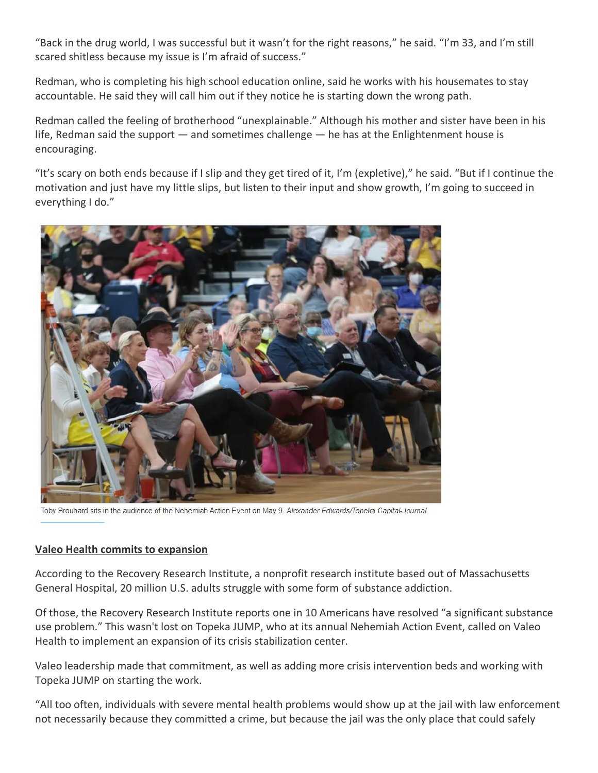"Back in the drug world, I was successful but it wasn't for the right reasons," he said. "I'm 33, and I'm still scared shitless because my issue is I'm afraid of success."

Redman, who is completing his high school education online, said he works with his housemates to stay accountable. He said they will call him out if they notice he is starting down the wrong path.

Redman called the feeling of brotherhood "unexplainable." Although his mother and sister have been in his life, Redman said the support  $-$  and sometimes challenge  $-$  he has at the Enlightenment house is encouraging.

"It's scary on both ends because if I slip and they get tired of it, I'm (expletive)," he said. "But if I continue the motivation and just have my little slips, but listen to their input and show growth, I'm going to succeed in everything I do."



Toby Brouhard sits in the audience of the Nehemiah Action Event on May 9. Alexander Edwards/Topeka Capital-Journal

#### **Valeo Health commits to expansion**

According to the Recovery Research Institute, a nonprofit research institute based out of Massachusetts General Hospital, 20 million U.S. adults struggle with some form of substance addiction.

Of those, the Recovery Research Institute reports one in 10 Americans have resolved "a significant substance use problem." This wasn't lost on Topeka JUMP, who at its annual Nehemiah Action Event, called on Valeo Health to implement an expansion of its crisis stabilization center.

Valeo leadership made that commitment, as well as adding more crisis intervention beds and working with Topeka JUMP on starting the work.

"All too often, individuals with severe mental health problems would show up at the jail with law enforcement not necessarily because they committed a crime, but because the jail was the only place that could safely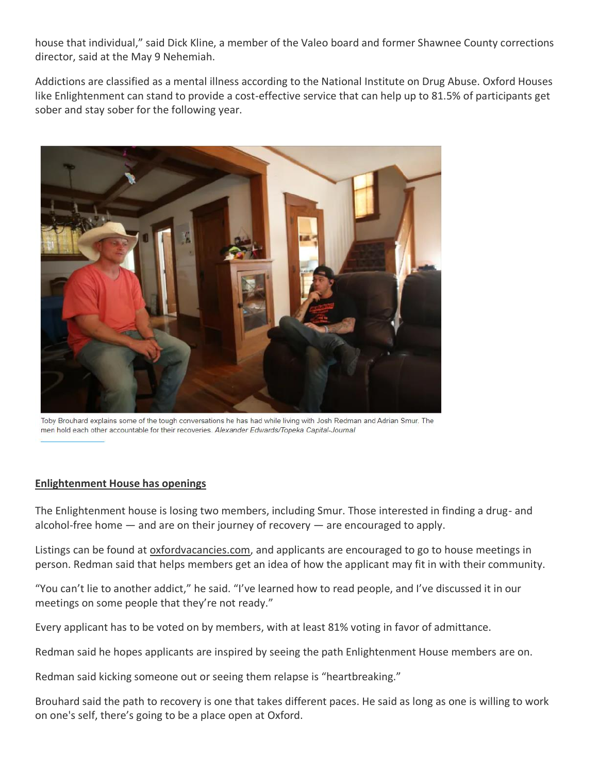house that individual," said Dick Kline, a member of the Valeo board and former Shawnee County corrections director, said at the May 9 Nehemiah.

Addictions are classified as a mental illness according to the National Institute on Drug Abuse. Oxford Houses like Enlightenment can stand to provide a cost-effective service that can help up to 81.5% of participants get sober and stay sober for the following year.



Toby Brouhard explains some of the tough conversations he has had while living with Josh Redman and Adrian Smur. The men hold each other accountable for their recoveries. Alexander Edwards/Topeka Capital-Journal

#### **Enlightenment House has openings**

The Enlightenment house is losing two members, including Smur. Those interested in finding a drug- and alcohol-free home — and are on their journey of recovery — are encouraged to apply.

Listings can be found at [oxfordvacancies.com,](https://www.oxfordvacancies.com/) and applicants are encouraged to go to house meetings in person. Redman said that helps members get an idea of how the applicant may fit in with their community.

"You can't lie to another addict," he said. "I've learned how to read people, and I've discussed it in our meetings on some people that they're not ready."

Every applicant has to be voted on by members, with at least 81% voting in favor of admittance.

Redman said he hopes applicants are inspired by seeing the path Enlightenment House members are on.

Redman said kicking someone out or seeing them relapse is "heartbreaking."

Brouhard said the path to recovery is one that takes different paces. He said as long as one is willing to work on one's self, there's going to be a place open at Oxford.